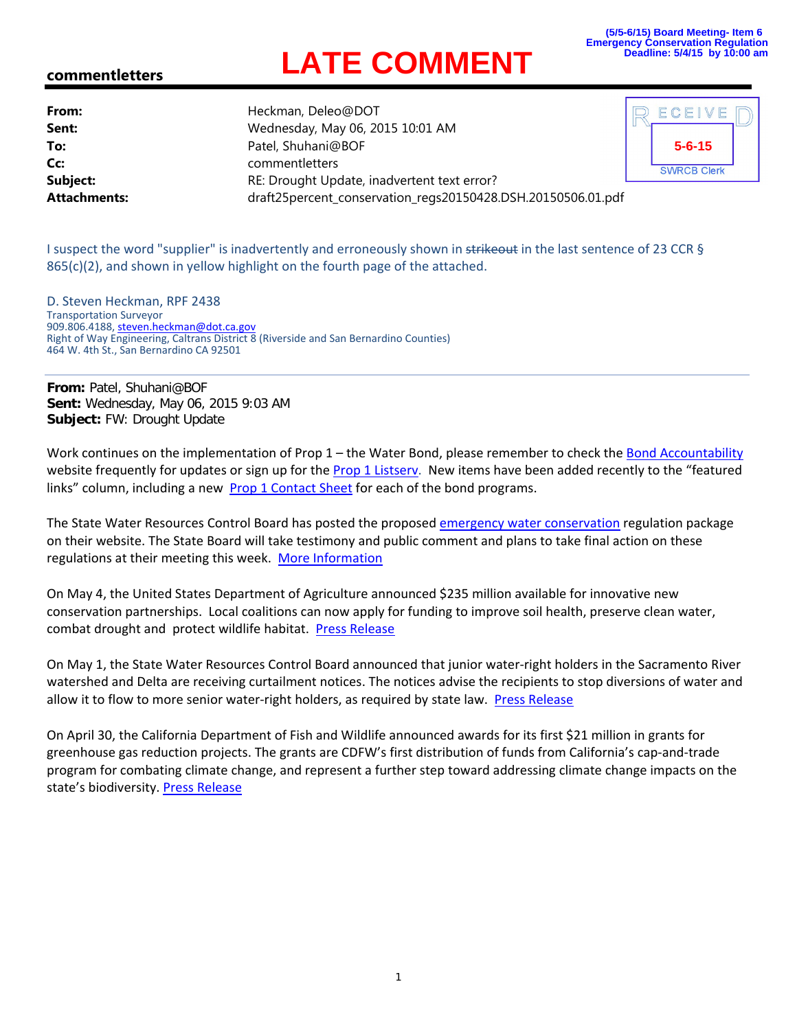## **LATE COMMENT**

## **commentletters**

**From:** Heckman, Deleo@DOT **Sent:** Wednesday, May 06, 2015 10:01 AM **To:** Patel, Shuhani@BOF **Cc:** commentletters **Subject:** RE: Drought Update, inadvertent text error? **Attachments:** draft25percent\_conservation\_regs20150428.DSH.20150506.01.pdf



I suspect the word "supplier" is inadvertently and erroneously shown in strikeout in the last sentence of 23 CCR §  $865(c)(2)$ , and shown in yellow highlight on the fourth page of the attached.

D. Steven Heckman, RPF 2438 Transportation Surveyor 909.806.4188, steven.heckman@dot.ca.gov Right of Way Engineering, Caltrans District 8 (Riverside and San Bernardino Counties) 464 W. 4th St., San Bernardino CA 92501

**From:** Patel, Shuhani@BOF **Sent:** Wednesday, May 06, 2015 9:03 AM **Subject:** FW: Drought Update

Work continues on the implementation of Prop 1 – the Water Bond, please remember to check the Bond Accountability website frequently for updates or sign up for the Prop 1 Listsery. New items have been added recently to the "featured links" column, including a new Prop 1 Contact Sheet for each of the bond programs.

The State Water Resources Control Board has posted the proposed emergency water conservation regulation package on their website. The State Board will take testimony and public comment and plans to take final action on these regulations at their meeting this week. More Information

On May 4, the United States Department of Agriculture announced \$235 million available for innovative new conservation partnerships. Local coalitions can now apply for funding to improve soil health, preserve clean water, combat drought and protect wildlife habitat. Press Release

On May 1, the State Water Resources Control Board announced that junior water‐right holders in the Sacramento River watershed and Delta are receiving curtailment notices. The notices advise the recipients to stop diversions of water and allow it to flow to more senior water-right holders, as required by state law. Press Release

On April 30, the California Department of Fish and Wildlife announced awards for its first \$21 million in grants for greenhouse gas reduction projects. The grants are CDFW's first distribution of funds from California's cap‐and‐trade program for combating climate change, and represent a further step toward addressing climate change impacts on the state's biodiversity. Press Release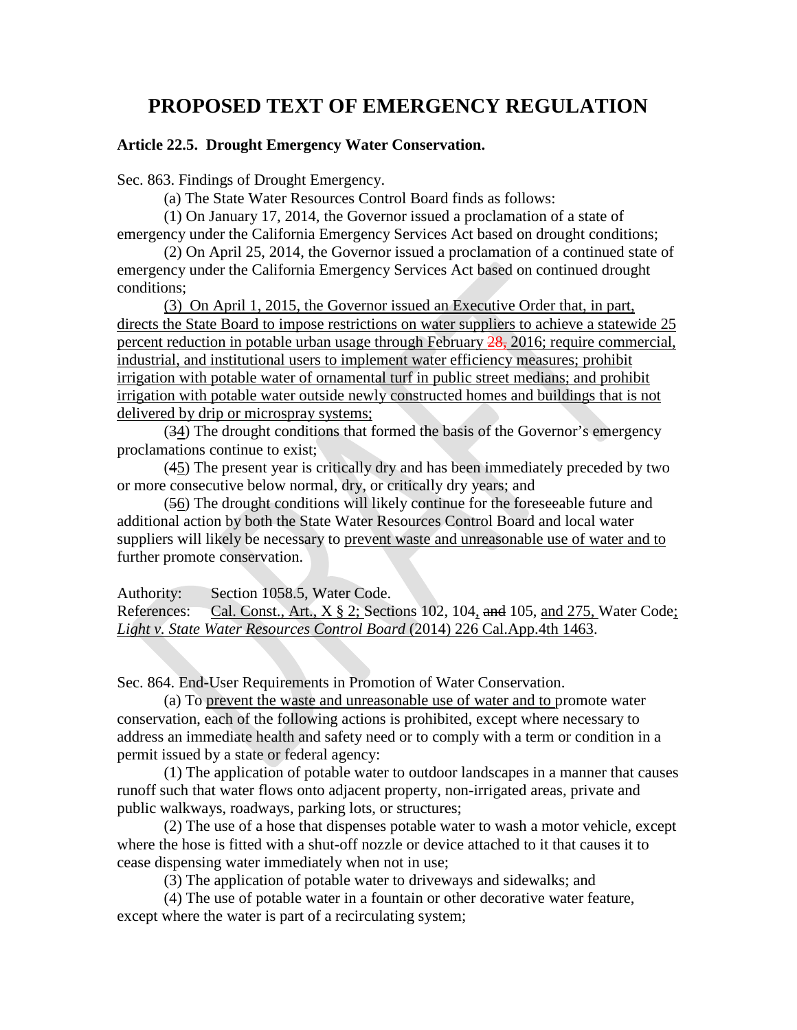## **PROPOSED TEXT OF EMERGENCY REGULATION**

## **Article 22.5. Drought Emergency Water Conservation.**

Sec. 863. Findings of Drought Emergency.

(a) The State Water Resources Control Board finds as follows:

(1) On January 17, 2014, the Governor issued a proclamation of a state of emergency under the California Emergency Services Act based on drought conditions;

(2) On April 25, 2014, the Governor issued a proclamation of a continued state of emergency under the California Emergency Services Act based on continued drought conditions;

(3) On April 1, 2015, the Governor issued an Executive Order that, in part, directs the State Board to impose restrictions on water suppliers to achieve a statewide 25 percent reduction in potable urban usage through February 28, 2016; require commercial, industrial, and institutional users to implement water efficiency measures; prohibit irrigation with potable water of ornamental turf in public street medians; and prohibit irrigation with potable water outside newly constructed homes and buildings that is not delivered by drip or microspray systems;

(34) The drought conditions that formed the basis of the Governor's emergency proclamations continue to exist;

(45) The present year is critically dry and has been immediately preceded by two or more consecutive below normal, dry, or critically dry years; and

(56) The drought conditions will likely continue for the foreseeable future and additional action by both the State Water Resources Control Board and local water suppliers will likely be necessary to prevent waste and unreasonable use of water and to further promote conservation.

Authority: Section 1058.5, Water Code.

References: Cal. Const., Art.,  $X \S 2$ ; Sections 102, 104, and 105, and 275, Water Code; *Light v. State Water Resources Control Board* (2014) 226 Cal.App.4th 1463.

Sec. 864. End-User Requirements in Promotion of Water Conservation.

(a) To prevent the waste and unreasonable use of water and to promote water conservation, each of the following actions is prohibited, except where necessary to address an immediate health and safety need or to comply with a term or condition in a permit issued by a state or federal agency:

(1) The application of potable water to outdoor landscapes in a manner that causes runoff such that water flows onto adjacent property, non-irrigated areas, private and public walkways, roadways, parking lots, or structures;

(2) The use of a hose that dispenses potable water to wash a motor vehicle, except where the hose is fitted with a shut-off nozzle or device attached to it that causes it to cease dispensing water immediately when not in use;

(3) The application of potable water to driveways and sidewalks; and

(4) The use of potable water in a fountain or other decorative water feature, except where the water is part of a recirculating system;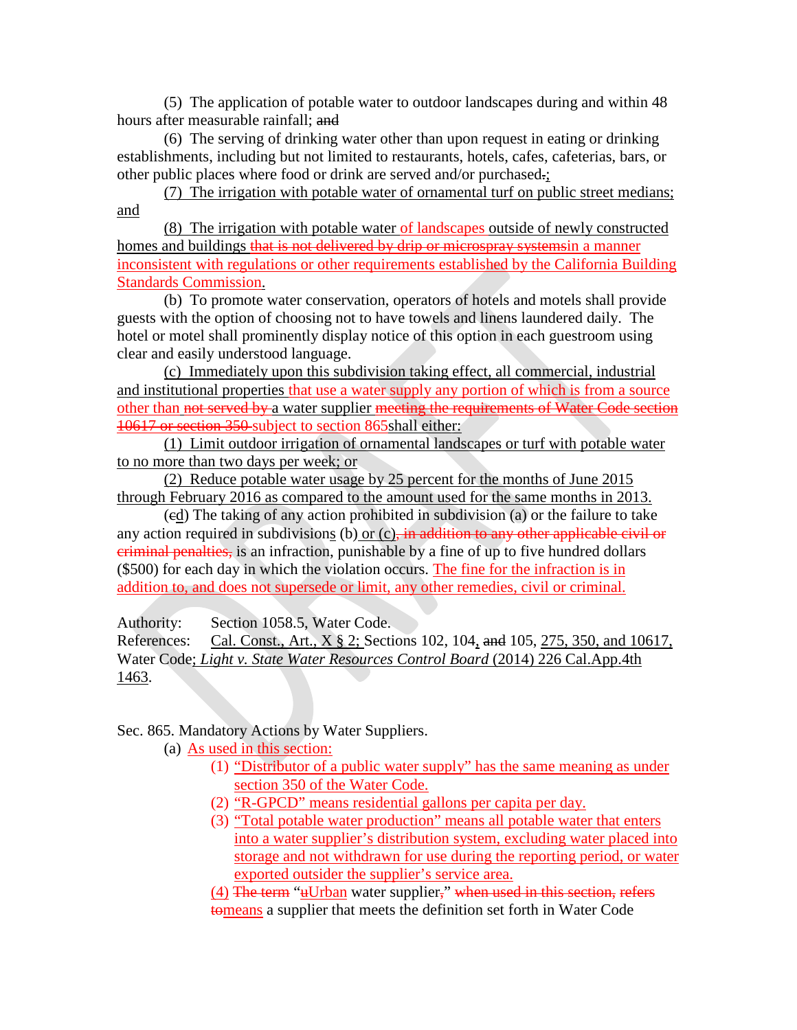(5) The application of potable water to outdoor landscapes during and within 48 hours after measurable rainfall; and

(6) The serving of drinking water other than upon request in eating or drinking establishments, including but not limited to restaurants, hotels, cafes, cafeterias, bars, or other public places where food or drink are served and/or purchased.;

(7) The irrigation with potable water of ornamental turf on public street medians; and

(8) The irrigation with potable water of landscapes outside of newly constructed homes and buildings that is not delivered by drip or microspray systemsin a manner inconsistent with regulations or other requirements established by the California Building Standards Commission.

(b) To promote water conservation, operators of hotels and motels shall provide guests with the option of choosing not to have towels and linens laundered daily. The hotel or motel shall prominently display notice of this option in each guestroom using clear and easily understood language.

(c) Immediately upon this subdivision taking effect, all commercial, industrial and institutional properties that use a water supply any portion of which is from a source other than not served by a water supplier meeting the requirements of Water Code section 10617 or section 350 subject to section 865shall either:

(1) Limit outdoor irrigation of ornamental landscapes or turf with potable water to no more than two days per week; or

(2) Reduce potable water usage by 25 percent for the months of June 2015 through February 2016 as compared to the amount used for the same months in 2013.

(cd) The taking of any action prohibited in subdivision (a) or the failure to take any action required in subdivisions (b) or  $(c)$ , in addition to any other applicable civil or criminal penalties, is an infraction, punishable by a fine of up to five hundred dollars (\$500) for each day in which the violation occurs. The fine for the infraction is in addition to, and does not supersede or limit, any other remedies, civil or criminal.

Authority: Section 1058.5, Water Code.

References: Cal. Const., Art., X § 2; Sections 102, 104, and 105, 275, 350, and 10617, Water Code; *Light v. State Water Resources Control Board* (2014) 226 Cal.App.4th 1463.

Sec. 865. Mandatory Actions by Water Suppliers.

- (a) As used in this section:
	- (1) "Distributor of a public water supply" has the same meaning as under section 350 of the Water Code.
	- (2) "R-GPCD" means residential gallons per capita per day.
	- (3) "Total potable water production" means all potable water that enters into a water supplier's distribution system, excluding water placed into storage and not withdrawn for use during the reporting period, or water exported outsider the supplier's service area.

(4) The term "uUrban water supplier," when used in this section, refers tomeans a supplier that meets the definition set forth in Water Code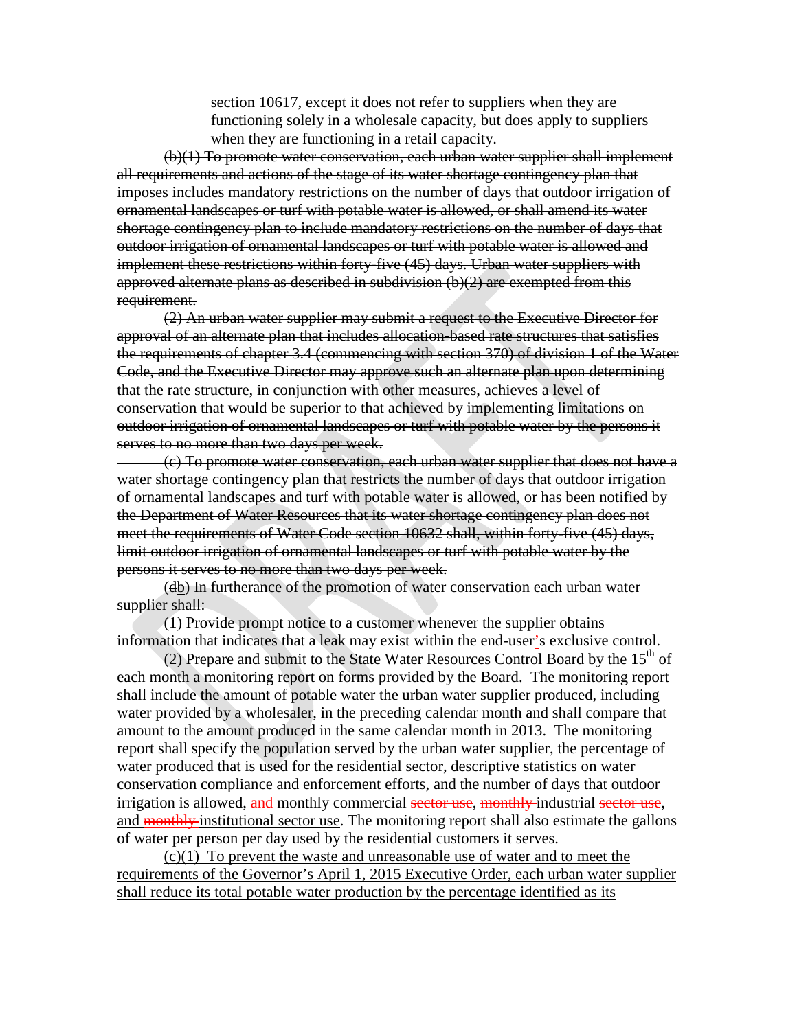section 10617, except it does not refer to suppliers when they are functioning solely in a wholesale capacity, but does apply to suppliers when they are functioning in a retail capacity.

(b)(1) To promote water conservation, each urban water supplier shall implement all requirements and actions of the stage of its water shortage contingency plan that imposes includes mandatory restrictions on the number of days that outdoor irrigation of ornamental landscapes or turf with potable water is allowed, or shall amend its water shortage contingency plan to include mandatory restrictions on the number of days that outdoor irrigation of ornamental landscapes or turf with potable water is allowed and implement these restrictions within forty-five (45) days. Urban water suppliers with approved alternate plans as described in subdivision (b)(2) are exempted from this requirement.

(2) An urban water supplier may submit a request to the Executive Director for approval of an alternate plan that includes allocation-based rate structures that satisfies the requirements of chapter 3.4 (commencing with section 370) of division 1 of the Water Code, and the Executive Director may approve such an alternate plan upon determining that the rate structure, in conjunction with other measures, achieves a level of conservation that would be superior to that achieved by implementing limitations on outdoor irrigation of ornamental landscapes or turf with potable water by the persons it serves to no more than two days per week.

(c) To promote water conservation, each urban water supplier that does not have a water shortage contingency plan that restricts the number of days that outdoor irrigation of ornamental landscapes and turf with potable water is allowed, or has been notified by the Department of Water Resources that its water shortage contingency plan does not meet the requirements of Water Code section 10632 shall, within forty-five (45) days, limit outdoor irrigation of ornamental landscapes or turf with potable water by the persons it serves to no more than two days per week.

(db) In furtherance of the promotion of water conservation each urban water supplier shall:

(1) Provide prompt notice to a customer whenever the supplier obtains information that indicates that a leak may exist within the end-user's exclusive control.

(2) Prepare and submit to the State Water Resources Control Board by the  $15<sup>th</sup>$  of each month a monitoring report on forms provided by the Board. The monitoring report shall include the amount of potable water the urban water supplier produced, including water provided by a wholesaler, in the preceding calendar month and shall compare that amount to the amount produced in the same calendar month in 2013. The monitoring report shall specify the population served by the urban water supplier, the percentage of water produced that is used for the residential sector, descriptive statistics on water conservation compliance and enforcement efforts, and the number of days that outdoor irrigation is allowed, and monthly commercial sector use, monthly industrial sector use, and **monthly** institutional sector use. The monitoring report shall also estimate the gallons of water per person per day used by the residential customers it serves.

(c)(1) To prevent the waste and unreasonable use of water and to meet the requirements of the Governor's April 1, 2015 Executive Order, each urban water supplier shall reduce its total potable water production by the percentage identified as its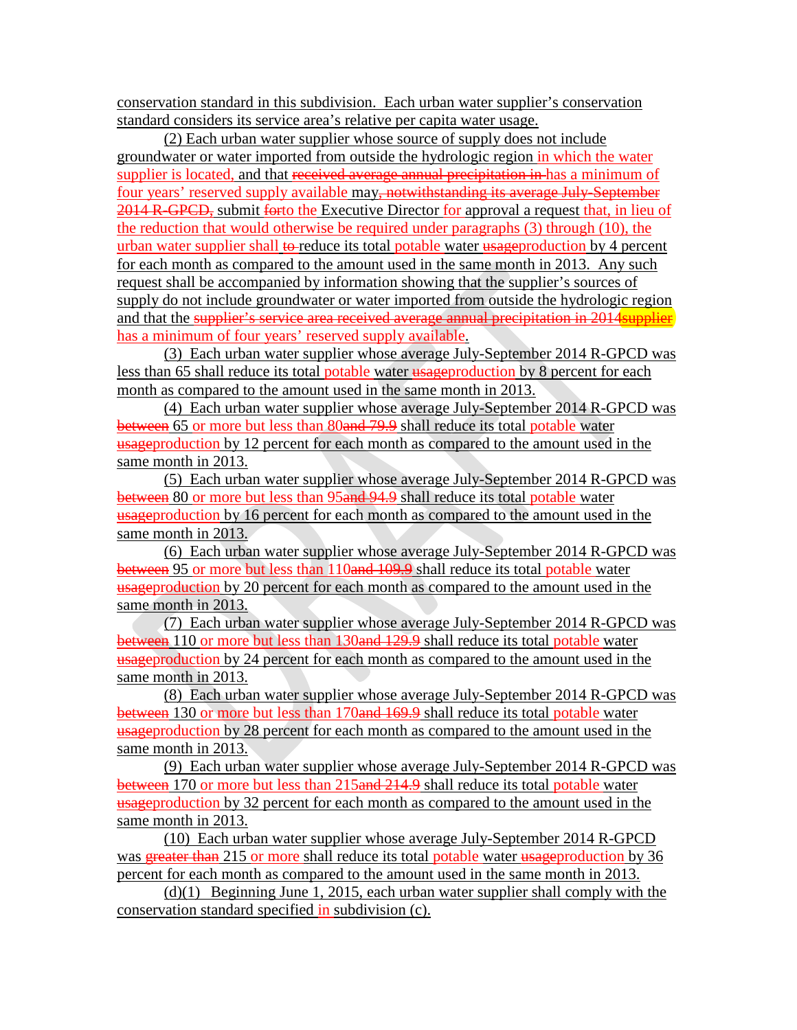conservation standard in this subdivision. Each urban water supplier's conservation standard considers its service area's relative per capita water usage.

(2) Each urban water supplier whose source of supply does not include groundwater or water imported from outside the hydrologic region in which the water supplier is located, and that received average annual precipitation in has a minimum of four years' reserved supply available may<del>, notwithstanding its average July-September</del> 2014 R-GPCD, submit forto the Executive Director for approval a request that, in lieu of the reduction that would otherwise be required under paragraphs (3) through (10), the urban water supplier shall to reduce its total potable water  $\frac{1}{4}$  uses the percent for each month as compared to the amount used in the same month in 2013. Any such request shall be accompanied by information showing that the supplier's sources of supply do not include groundwater or water imported from outside the hydrologic region and that the supplier's service area received average annual precipitation in 2014 supplier has a minimum of four years' reserved supply available.

(3) Each urban water supplier whose average July-September 2014 R-GPCD was less than 65 shall reduce its total potable water usageproduction by 8 percent for each month as compared to the amount used in the same month in 2013.

(4) Each urban water supplier whose average July-September 2014 R-GPCD was between 65 or more but less than 80and 79.9 shall reduce its total potable water usageproduction by 12 percent for each month as compared to the amount used in the same month in 2013.

(5) Each urban water supplier whose average July-September 2014 R-GPCD was between 80 or more but less than 95 and 94.9 shall reduce its total potable water usageproduction by 16 percent for each month as compared to the amount used in the same month in 2013.

(6) Each urban water supplier whose average July-September 2014 R-GPCD was between 95 or more but less than 110and 109.9 shall reduce its total potable water usageproduction by 20 percent for each month as compared to the amount used in the same month in 2013.

(7) Each urban water supplier whose average July-September 2014 R-GPCD was between 110 or more but less than 130 and 129.9 shall reduce its total potable water usageproduction by 24 percent for each month as compared to the amount used in the same month in 2013.

(8) Each urban water supplier whose average July-September 2014 R-GPCD was between 130 or more but less than 170and 169.9 shall reduce its total potable water usageproduction by 28 percent for each month as compared to the amount used in the same month in 2013.

(9) Each urban water supplier whose average July-September 2014 R-GPCD was between 170 or more but less than 215and 214.9 shall reduce its total potable water usageproduction by 32 percent for each month as compared to the amount used in the same month in 2013.

(10) Each urban water supplier whose average July-September 2014 R-GPCD was greater than 215 or more shall reduce its total potable water usageproduction by 36 percent for each month as compared to the amount used in the same month in 2013.

(d)(1) Beginning June 1, 2015, each urban water supplier shall comply with the conservation standard specified in subdivision (c).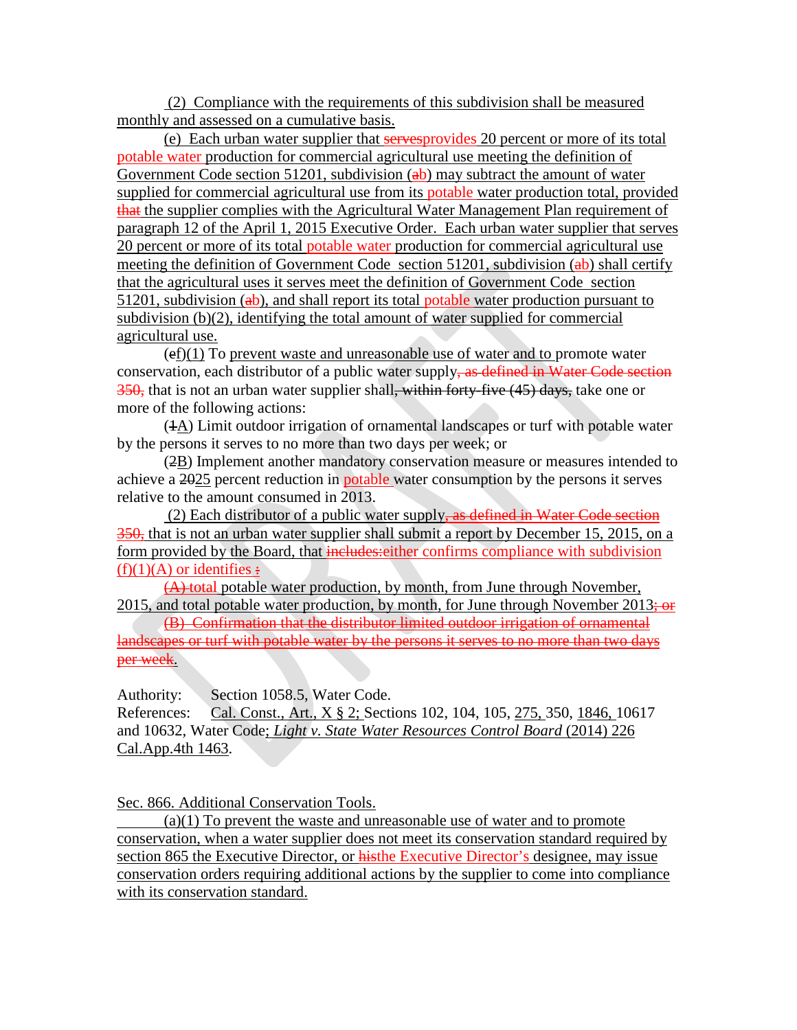(2) Compliance with the requirements of this subdivision shall be measured monthly and assessed on a cumulative basis.

(e) Each urban water supplier that servesprovides 20 percent or more of its total potable water production for commercial agricultural use meeting the definition of Government Code section 51201, subdivision  $(a b)$  may subtract the amount of water supplied for commercial agricultural use from its potable water production total, provided that the supplier complies with the Agricultural Water Management Plan requirement of paragraph 12 of the April 1, 2015 Executive Order. Each urban water supplier that serves 20 percent or more of its total potable water production for commercial agricultural use meeting the definition of Government Code section 51201, subdivision  $(a b)$  shall certify that the agricultural uses it serves meet the definition of Government Code section  $51201$ , subdivision ( $ab$ ), and shall report its total potable water production pursuant to subdivision (b)(2), identifying the total amount of water supplied for commercial agricultural use.

 $(ef)(1)$  To prevent waste and unreasonable use of water and to promote water conservation, each distributor of a public water supply, as defined in Water Code section 350, that is not an urban water supplier shall, within forty-five (45) days, take one or more of the following actions:

(1A) Limit outdoor irrigation of ornamental landscapes or turf with potable water by the persons it serves to no more than two days per week; or

(2B) Implement another mandatory conservation measure or measures intended to achieve a 2025 percent reduction in potable water consumption by the persons it serves relative to the amount consumed in 2013.

(2) Each distributor of a public water supply, as defined in Water Code section 350, that is not an urban water supplier shall submit a report by December 15, 2015, on a form provided by the Board, that includes: either confirms compliance with subdivision  $(f)(1)(A)$  or identifies  $\div$ 

(A) total potable water production, by month, from June through November, 2015, and total potable water production, by month, for June through November  $2013\div$  or

(B) Confirmation that the distributor limited outdoor irrigation of ornamental landscapes or turf with potable water by the persons it serves to no more than two days per week.

Authority: Section 1058.5, Water Code.

References: Cal. Const., Art., X § 2; Sections 102, 104, 105, 275, 350, 1846, 10617 and 10632, Water Code; *Light v. State Water Resources Control Board* (2014) 226 Cal.App.4th 1463.

Sec. 866. Additional Conservation Tools.

(a)(1) To prevent the waste and unreasonable use of water and to promote conservation, when a water supplier does not meet its conservation standard required by section 865 the Executive Director, or histhe Executive Director's designee, may issue conservation orders requiring additional actions by the supplier to come into compliance with its conservation standard.